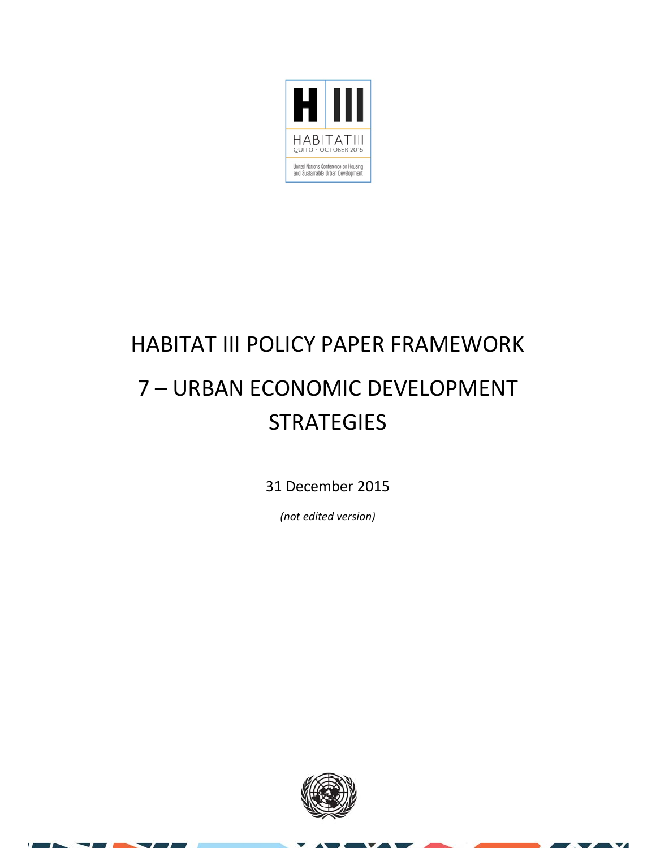

#### HABITAT III POLICY PAPER FRAMEWORK 7 – URBAN ECONOMIC DEVELOPMENT **STRATEGIES**

31 December 2015

*(not edited version)*



 $\overline{\mathbf{v}}$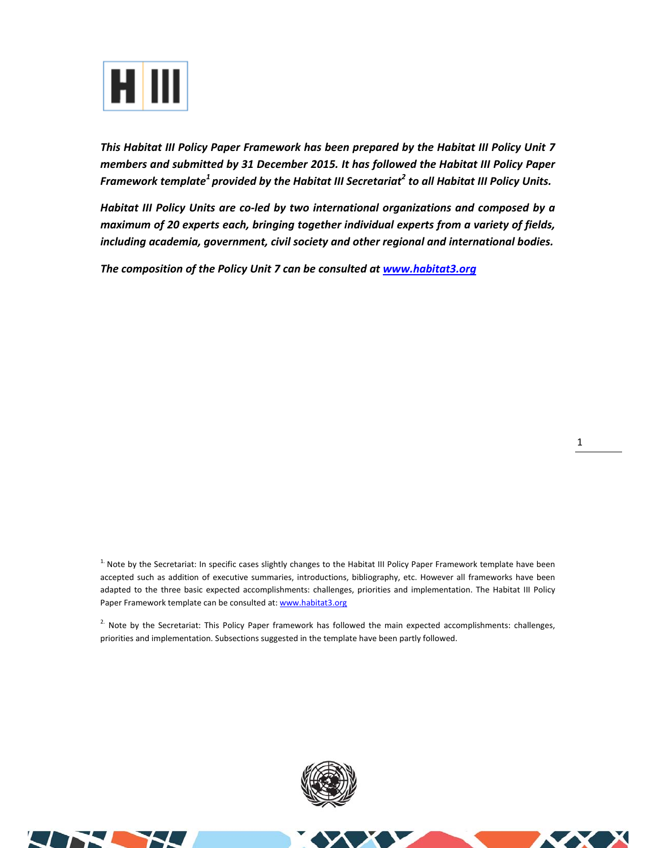

*This Habitat III Policy Paper Framework has been prepared by the Habitat III Policy Unit 7 members and submitted by 31 December 2015. It has followed the Habitat III Policy Paper Framework template<sup>1</sup> provided by the Habitat III Secretariat2 to all Habitat III Policy Units.* 

*Habitat III Policy Units are co‐led by two international organizations and composed by a maximum of 20 experts each, bringing together individual experts from a variety of fields, including academia, government, civil society and other regional and international bodies.* 

*The composition of the Policy Unit 7 can be consulted at www.habitat3.org* 

<sup>1.</sup> Note by the Secretariat: In specific cases slightly changes to the Habitat III Policy Paper Framework template have been accepted such as addition of executive summaries, introductions, bibliography, etc. However all frameworks have been adapted to the three basic expected accomplishments: challenges, priorities and implementation. The Habitat III Policy Paper Framework template can be consulted at: www.habitat3.org

<sup>2.</sup> Note by the Secretariat: This Policy Paper framework has followed the main expected accomplishments: challenges, priorities and implementation. Subsections suggested in the template have been partly followed.



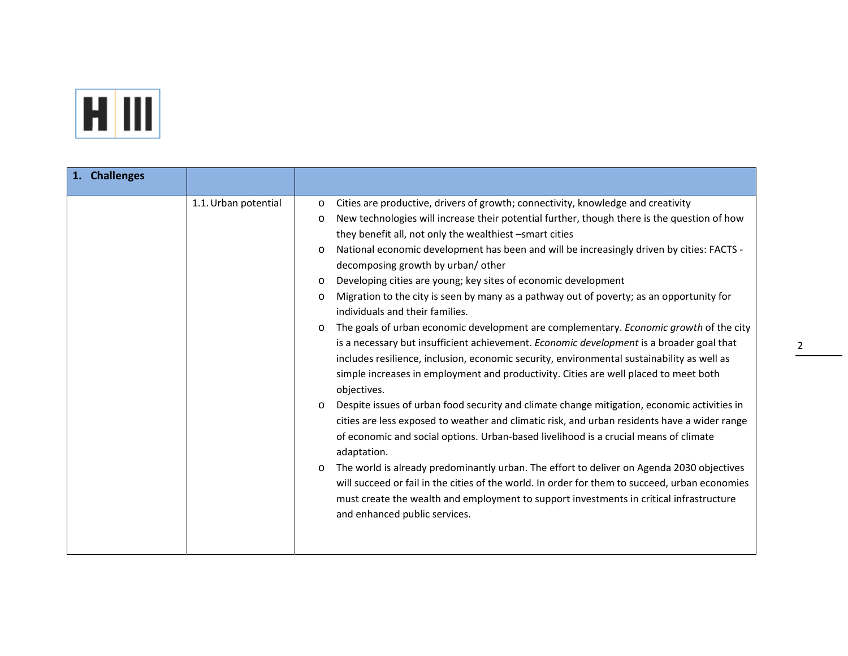

| 1. Challenges |                      |                                                                                                                                                                                                                                                                                                                                                                                                                                                                                                                                                                                                                                                                                                                                                                                                                                                                                                                                                                                                                                                                                                                                                                                                                                                                                                                                                                                                                                                                                                                                                                                                                                                                                             |
|---------------|----------------------|---------------------------------------------------------------------------------------------------------------------------------------------------------------------------------------------------------------------------------------------------------------------------------------------------------------------------------------------------------------------------------------------------------------------------------------------------------------------------------------------------------------------------------------------------------------------------------------------------------------------------------------------------------------------------------------------------------------------------------------------------------------------------------------------------------------------------------------------------------------------------------------------------------------------------------------------------------------------------------------------------------------------------------------------------------------------------------------------------------------------------------------------------------------------------------------------------------------------------------------------------------------------------------------------------------------------------------------------------------------------------------------------------------------------------------------------------------------------------------------------------------------------------------------------------------------------------------------------------------------------------------------------------------------------------------------------|
|               | 1.1. Urban potential | Cities are productive, drivers of growth; connectivity, knowledge and creativity<br>O<br>New technologies will increase their potential further, though there is the question of how<br>$\circ$<br>they benefit all, not only the wealthiest -smart cities<br>National economic development has been and will be increasingly driven by cities: FACTS -<br>$\circ$<br>decomposing growth by urban/other<br>Developing cities are young; key sites of economic development<br>$\circ$<br>Migration to the city is seen by many as a pathway out of poverty; as an opportunity for<br>$\circ$<br>individuals and their families.<br>The goals of urban economic development are complementary. Economic growth of the city<br>$\circ$<br>is a necessary but insufficient achievement. Economic development is a broader goal that<br>includes resilience, inclusion, economic security, environmental sustainability as well as<br>simple increases in employment and productivity. Cities are well placed to meet both<br>objectives.<br>Despite issues of urban food security and climate change mitigation, economic activities in<br>$\circ$<br>cities are less exposed to weather and climatic risk, and urban residents have a wider range<br>of economic and social options. Urban-based livelihood is a crucial means of climate<br>adaptation.<br>The world is already predominantly urban. The effort to deliver on Agenda 2030 objectives<br>$\circ$<br>will succeed or fail in the cities of the world. In order for them to succeed, urban economies<br>must create the wealth and employment to support investments in critical infrastructure<br>and enhanced public services. |
|               |                      |                                                                                                                                                                                                                                                                                                                                                                                                                                                                                                                                                                                                                                                                                                                                                                                                                                                                                                                                                                                                                                                                                                                                                                                                                                                                                                                                                                                                                                                                                                                                                                                                                                                                                             |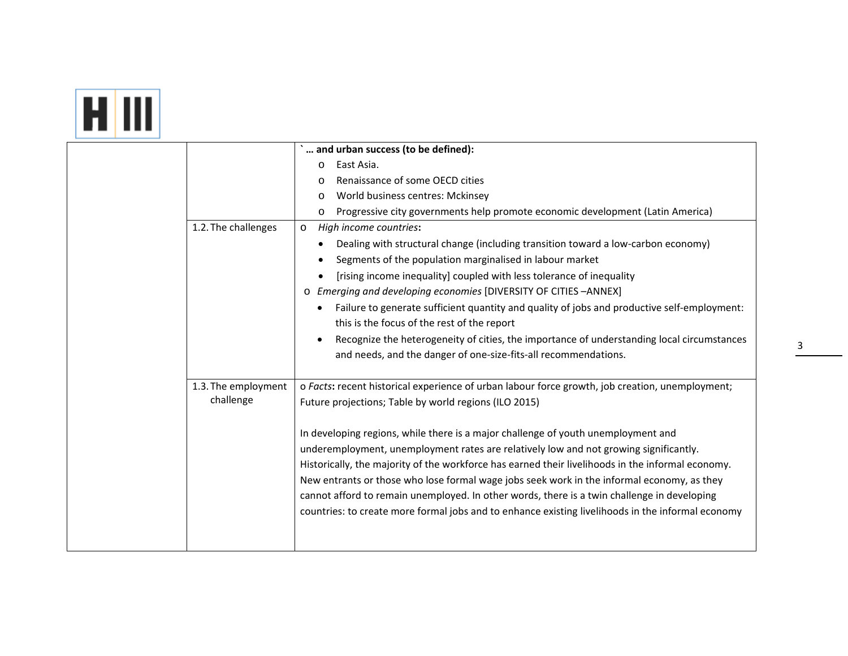#### **FILIT**

|                     | and urban success (to be defined):                                                                |
|---------------------|---------------------------------------------------------------------------------------------------|
|                     | East Asia.<br>O                                                                                   |
|                     | Renaissance of some OECD cities<br>O                                                              |
|                     | World business centres: Mckinsey<br>O                                                             |
|                     | Progressive city governments help promote economic development (Latin America)<br>O               |
| 1.2. The challenges | High income countries:<br>$\circ$                                                                 |
|                     | Dealing with structural change (including transition toward a low-carbon economy)                 |
|                     | Segments of the population marginalised in labour market                                          |
|                     | [rising income inequality] coupled with less tolerance of inequality<br>٠                         |
|                     | o Emerging and developing economies [DIVERSITY OF CITIES -ANNEX]                                  |
|                     | Failure to generate sufficient quantity and quality of jobs and productive self-employment:       |
|                     | this is the focus of the rest of the report                                                       |
|                     | Recognize the heterogeneity of cities, the importance of understanding local circumstances        |
|                     | and needs, and the danger of one-size-fits-all recommendations.                                   |
|                     |                                                                                                   |
| 1.3. The employment | o Facts: recent historical experience of urban labour force growth, job creation, unemployment;   |
| challenge           | Future projections; Table by world regions (ILO 2015)                                             |
|                     |                                                                                                   |
|                     | In developing regions, while there is a major challenge of youth unemployment and                 |
|                     | underemployment, unemployment rates are relatively low and not growing significantly.             |
|                     | Historically, the majority of the workforce has earned their livelihoods in the informal economy. |
|                     | New entrants or those who lose formal wage jobs seek work in the informal economy, as they        |
|                     | cannot afford to remain unemployed. In other words, there is a twin challenge in developing       |
|                     | countries: to create more formal jobs and to enhance existing livelihoods in the informal economy |
|                     |                                                                                                   |
|                     |                                                                                                   |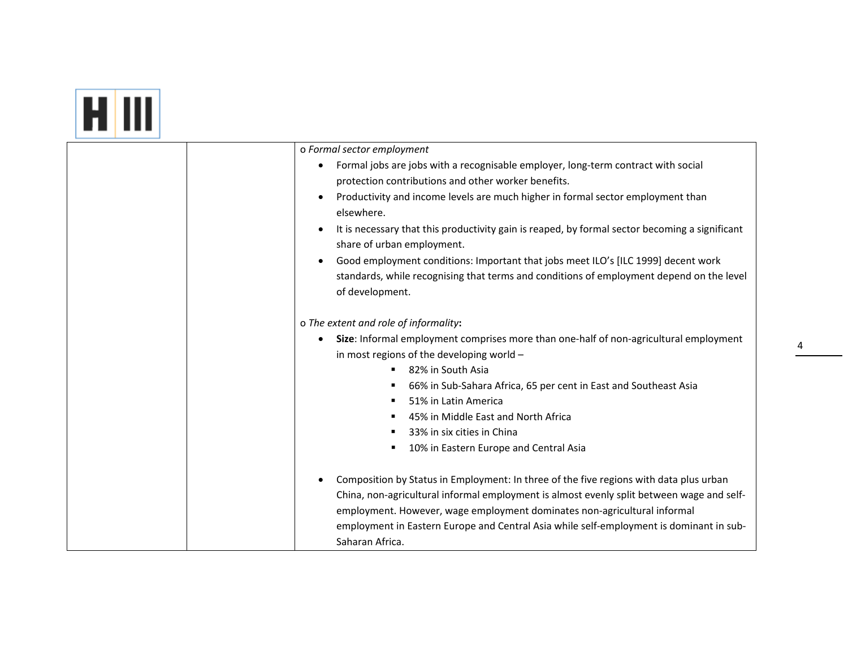#### **ET III**

| o Formal sector employment                                                                     |
|------------------------------------------------------------------------------------------------|
| Formal jobs are jobs with a recognisable employer, long-term contract with social              |
| protection contributions and other worker benefits.                                            |
| Productivity and income levels are much higher in formal sector employment than                |
| elsewhere.                                                                                     |
| It is necessary that this productivity gain is reaped, by formal sector becoming a significant |
| share of urban employment.                                                                     |
| Good employment conditions: Important that jobs meet ILO's [ILC 1999] decent work              |
| standards, while recognising that terms and conditions of employment depend on the level       |
| of development.                                                                                |
|                                                                                                |
| o The extent and role of informality:                                                          |
| Size: Informal employment comprises more than one-half of non-agricultural employment          |
|                                                                                                |
| in most regions of the developing world -                                                      |
| 82% in South Asia                                                                              |
| 66% in Sub-Sahara Africa, 65 per cent in East and Southeast Asia                               |
| 51% in Latin America                                                                           |
| 45% in Middle East and North Africa                                                            |
| 33% in six cities in China                                                                     |
| 10% in Eastern Europe and Central Asia                                                         |
|                                                                                                |
| Composition by Status in Employment: In three of the five regions with data plus urban         |
| China, non-agricultural informal employment is almost evenly split between wage and self-      |
| employment. However, wage employment dominates non-agricultural informal                       |
| employment in Eastern Europe and Central Asia while self-employment is dominant in sub-        |
| Saharan Africa.                                                                                |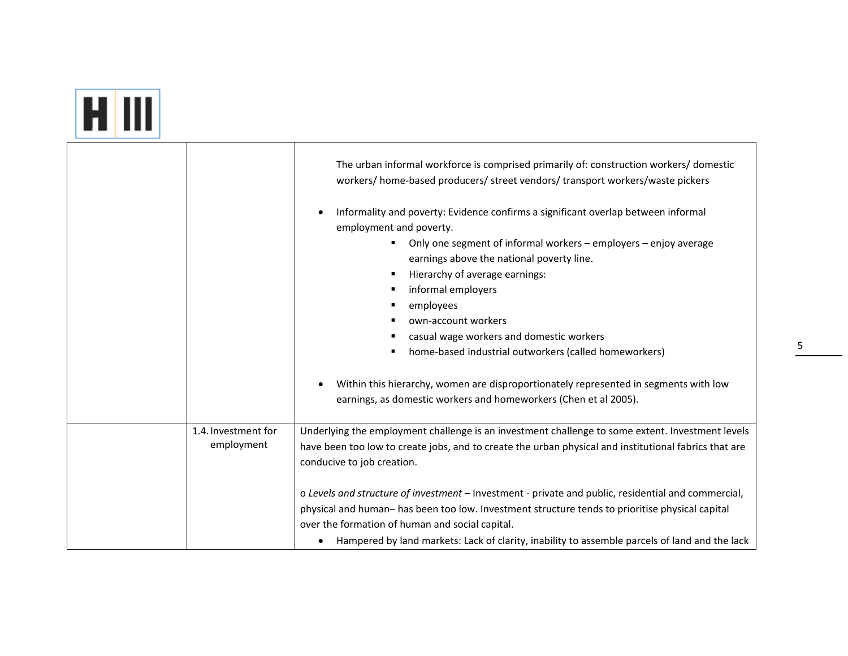#### $H$   $III$

|                                   | The urban informal workforce is comprised primarily of: construction workers/domestic<br>workers/ home-based producers/ street vendors/ transport workers/waste pickers<br>Informality and poverty: Evidence confirms a significant overlap between informal<br>employment and poverty.<br>Only one segment of informal workers - employers - enjoy average<br>earnings above the national poverty line.<br>Hierarchy of average earnings:<br>informal employers<br>employees<br>own-account workers<br>casual wage workers and domestic workers<br>home-based industrial outworkers (called homeworkers)<br>Within this hierarchy, women are disproportionately represented in segments with low<br>earnings, as domestic workers and homeworkers (Chen et al 2005). |
|-----------------------------------|-----------------------------------------------------------------------------------------------------------------------------------------------------------------------------------------------------------------------------------------------------------------------------------------------------------------------------------------------------------------------------------------------------------------------------------------------------------------------------------------------------------------------------------------------------------------------------------------------------------------------------------------------------------------------------------------------------------------------------------------------------------------------|
| 1.4. Investment for<br>employment | Underlying the employment challenge is an investment challenge to some extent. Investment levels<br>have been too low to create jobs, and to create the urban physical and institutional fabrics that are<br>conducive to job creation.<br>o Levels and structure of investment - Investment - private and public, residential and commercial,<br>physical and human- has been too low. Investment structure tends to prioritise physical capital<br>over the formation of human and social capital.                                                                                                                                                                                                                                                                  |
|                                   | Hampered by land markets: Lack of clarity, inability to assemble parcels of land and the lack<br>$\bullet$                                                                                                                                                                                                                                                                                                                                                                                                                                                                                                                                                                                                                                                            |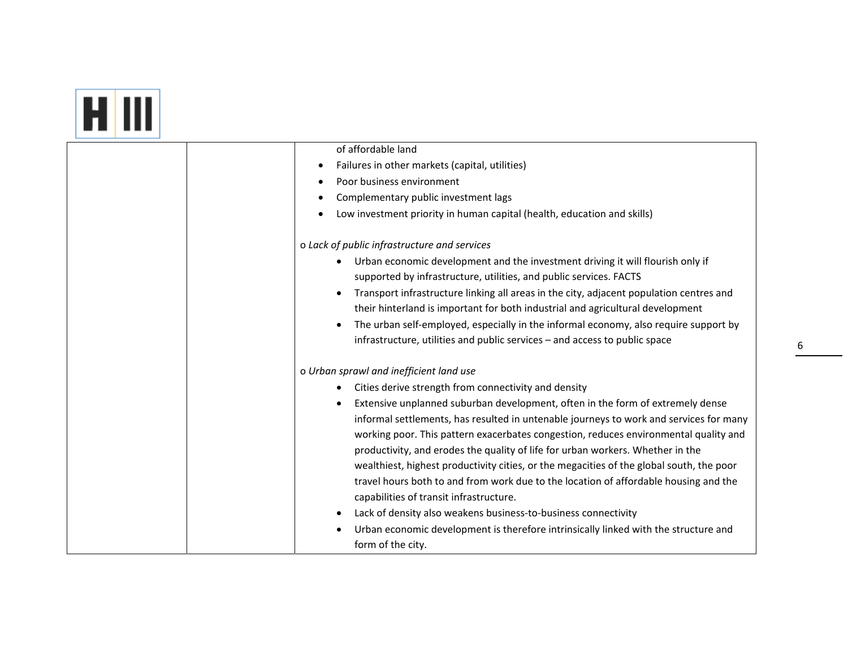| of affordable land                                                                                                                                                                                                                                                                                                                                                                                                                                                                                                                                                                                                                                                                                                                         |
|--------------------------------------------------------------------------------------------------------------------------------------------------------------------------------------------------------------------------------------------------------------------------------------------------------------------------------------------------------------------------------------------------------------------------------------------------------------------------------------------------------------------------------------------------------------------------------------------------------------------------------------------------------------------------------------------------------------------------------------------|
| Failures in other markets (capital, utilities)<br>٠                                                                                                                                                                                                                                                                                                                                                                                                                                                                                                                                                                                                                                                                                        |
| Poor business environment                                                                                                                                                                                                                                                                                                                                                                                                                                                                                                                                                                                                                                                                                                                  |
| Complementary public investment lags                                                                                                                                                                                                                                                                                                                                                                                                                                                                                                                                                                                                                                                                                                       |
| Low investment priority in human capital (health, education and skills)                                                                                                                                                                                                                                                                                                                                                                                                                                                                                                                                                                                                                                                                    |
| o Lack of public infrastructure and services                                                                                                                                                                                                                                                                                                                                                                                                                                                                                                                                                                                                                                                                                               |
| Urban economic development and the investment driving it will flourish only if<br>supported by infrastructure, utilities, and public services. FACTS<br>Transport infrastructure linking all areas in the city, adjacent population centres and<br>$\bullet$<br>their hinterland is important for both industrial and agricultural development<br>The urban self-employed, especially in the informal economy, also require support by<br>$\bullet$<br>infrastructure, utilities and public services - and access to public space                                                                                                                                                                                                          |
| o Urban sprawl and inefficient land use                                                                                                                                                                                                                                                                                                                                                                                                                                                                                                                                                                                                                                                                                                    |
| Cities derive strength from connectivity and density<br>٠                                                                                                                                                                                                                                                                                                                                                                                                                                                                                                                                                                                                                                                                                  |
| Extensive unplanned suburban development, often in the form of extremely dense<br>informal settlements, has resulted in untenable journeys to work and services for many<br>working poor. This pattern exacerbates congestion, reduces environmental quality and<br>productivity, and erodes the quality of life for urban workers. Whether in the<br>wealthiest, highest productivity cities, or the megacities of the global south, the poor<br>travel hours both to and from work due to the location of affordable housing and the<br>capabilities of transit infrastructure.<br>Lack of density also weakens business-to-business connectivity<br>Urban economic development is therefore intrinsically linked with the structure and |
| form of the city.                                                                                                                                                                                                                                                                                                                                                                                                                                                                                                                                                                                                                                                                                                                          |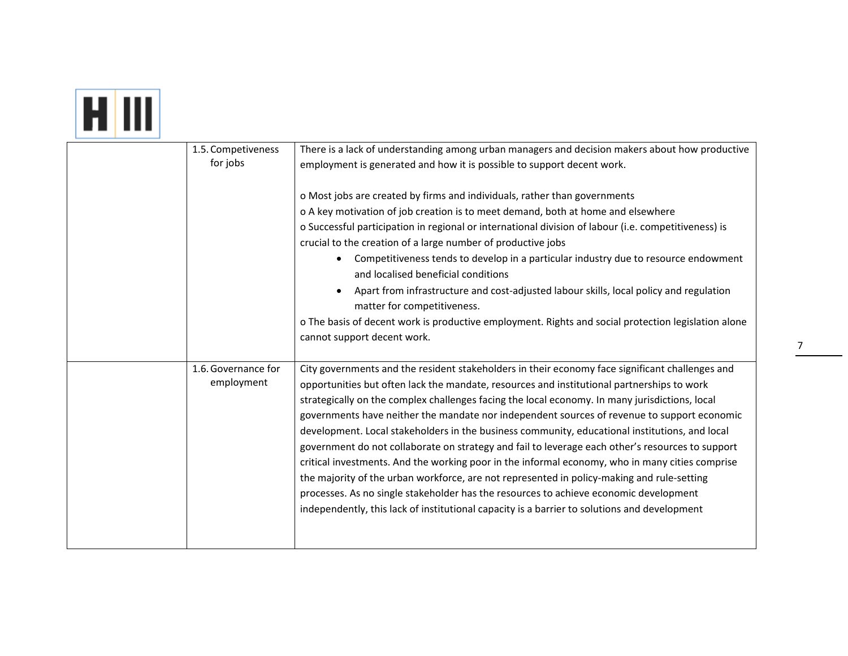#### HIII

| 1.5. Competiveness  | There is a lack of understanding among urban managers and decision makers about how productive                             |
|---------------------|----------------------------------------------------------------------------------------------------------------------------|
| for jobs            | employment is generated and how it is possible to support decent work.                                                     |
|                     |                                                                                                                            |
|                     | o Most jobs are created by firms and individuals, rather than governments                                                  |
|                     | o A key motivation of job creation is to meet demand, both at home and elsewhere                                           |
|                     | o Successful participation in regional or international division of labour (i.e. competitiveness) is                       |
|                     | crucial to the creation of a large number of productive jobs                                                               |
|                     | Competitiveness tends to develop in a particular industry due to resource endowment<br>and localised beneficial conditions |
|                     | Apart from infrastructure and cost-adjusted labour skills, local policy and regulation<br>matter for competitiveness.      |
|                     | o The basis of decent work is productive employment. Rights and social protection legislation alone                        |
|                     | cannot support decent work.                                                                                                |
|                     |                                                                                                                            |
| 1.6. Governance for | City governments and the resident stakeholders in their economy face significant challenges and                            |
| employment          | opportunities but often lack the mandate, resources and institutional partnerships to work                                 |
|                     | strategically on the complex challenges facing the local economy. In many jurisdictions, local                             |
|                     | governments have neither the mandate nor independent sources of revenue to support economic                                |
|                     | development. Local stakeholders in the business community, educational institutions, and local                             |
|                     | government do not collaborate on strategy and fail to leverage each other's resources to support                           |
|                     | critical investments. And the working poor in the informal economy, who in many cities comprise                            |
|                     | the majority of the urban workforce, are not represented in policy-making and rule-setting                                 |
|                     | processes. As no single stakeholder has the resources to achieve economic development                                      |
|                     | independently, this lack of institutional capacity is a barrier to solutions and development                               |
|                     |                                                                                                                            |
|                     |                                                                                                                            |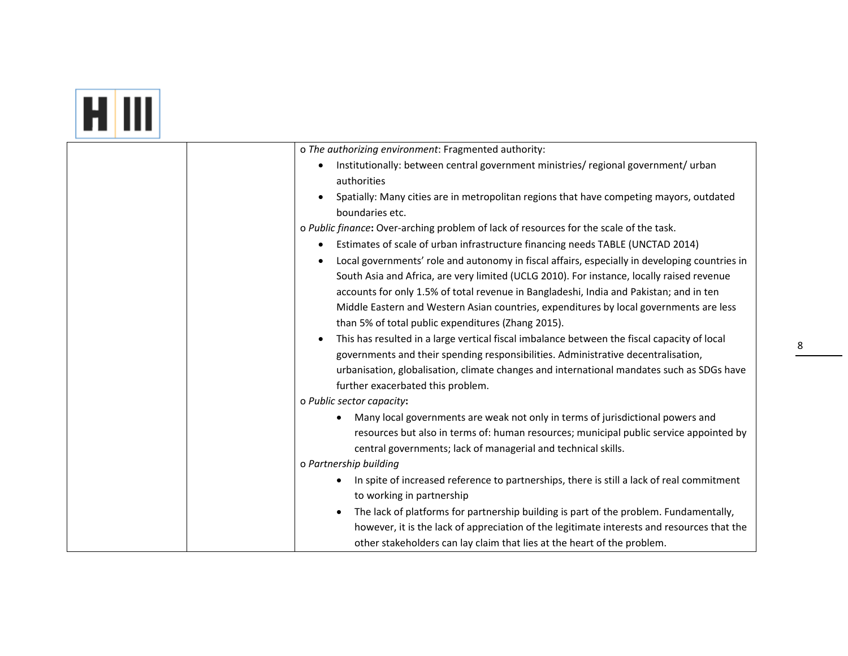| o The authorizing environment: Fragmented authority:                                                                                                    |
|---------------------------------------------------------------------------------------------------------------------------------------------------------|
| Institutionally: between central government ministries/ regional government/ urban<br>authorities                                                       |
| Spatially: Many cities are in metropolitan regions that have competing mayors, outdated<br>boundaries etc.                                              |
| o Public finance: Over-arching problem of lack of resources for the scale of the task.                                                                  |
| Estimates of scale of urban infrastructure financing needs TABLE (UNCTAD 2014)<br>$\bullet$                                                             |
| Local governments' role and autonomy in fiscal affairs, especially in developing countries in<br>$\bullet$                                              |
| South Asia and Africa, are very limited (UCLG 2010). For instance, locally raised revenue                                                               |
| accounts for only 1.5% of total revenue in Bangladeshi, India and Pakistan; and in ten                                                                  |
| Middle Eastern and Western Asian countries, expenditures by local governments are less                                                                  |
| than 5% of total public expenditures (Zhang 2015).                                                                                                      |
| This has resulted in a large vertical fiscal imbalance between the fiscal capacity of local<br>$\bullet$                                                |
| governments and their spending responsibilities. Administrative decentralisation,                                                                       |
| urbanisation, globalisation, climate changes and international mandates such as SDGs have                                                               |
| further exacerbated this problem.                                                                                                                       |
| o Public sector capacity:                                                                                                                               |
| Many local governments are weak not only in terms of jurisdictional powers and                                                                          |
| resources but also in terms of: human resources; municipal public service appointed by<br>central governments; lack of managerial and technical skills. |
| o Partnership building                                                                                                                                  |
| In spite of increased reference to partnerships, there is still a lack of real commitment<br>$\bullet$                                                  |
| to working in partnership                                                                                                                               |
| The lack of platforms for partnership building is part of the problem. Fundamentally,<br>$\bullet$                                                      |
| however, it is the lack of appreciation of the legitimate interests and resources that the                                                              |
|                                                                                                                                                         |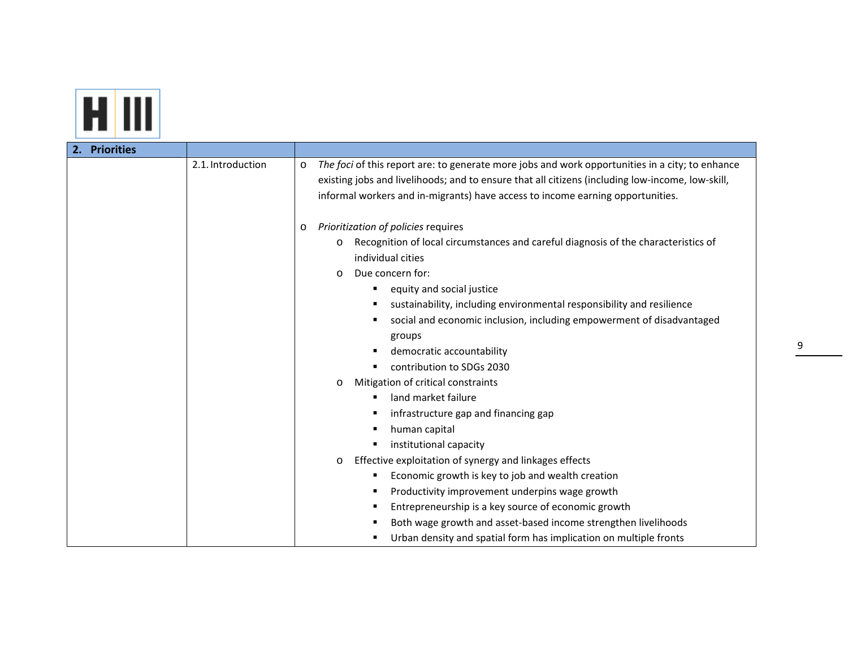

| 2. Priorities |                   |                                                                                                                                                                                                                                                                                                                                                                                                              |
|---------------|-------------------|--------------------------------------------------------------------------------------------------------------------------------------------------------------------------------------------------------------------------------------------------------------------------------------------------------------------------------------------------------------------------------------------------------------|
|               | 2.1. Introduction | The foci of this report are: to generate more jobs and work opportunities in a city; to enhance<br>$\circ$<br>existing jobs and livelihoods; and to ensure that all citizens (including low-income, low-skill,<br>informal workers and in-migrants) have access to income earning opportunities.                                                                                                             |
|               |                   | Prioritization of policies requires<br>$\circ$<br>Recognition of local circumstances and careful diagnosis of the characteristics of<br>O<br>individual cities                                                                                                                                                                                                                                               |
|               |                   | Due concern for:<br>$\circ$<br>equity and social justice                                                                                                                                                                                                                                                                                                                                                     |
|               |                   | sustainability, including environmental responsibility and resilience<br>٠<br>social and economic inclusion, including empowerment of disadvantaged<br>п<br>groups<br>democratic accountability<br>٠<br>contribution to SDGs 2030<br>Mitigation of critical constraints<br>O<br>land market failure<br>٠<br>infrastructure gap and financing gap<br>п<br>human capital<br>п<br>institutional capacity<br>٠   |
|               |                   | Effective exploitation of synergy and linkages effects<br>$\circ$<br>Economic growth is key to job and wealth creation<br>п<br>Productivity improvement underpins wage growth<br>$\blacksquare$<br>Entrepreneurship is a key source of economic growth<br>п<br>Both wage growth and asset-based income strengthen livelihoods<br>п<br>Urban density and spatial form has implication on multiple fronts<br>п |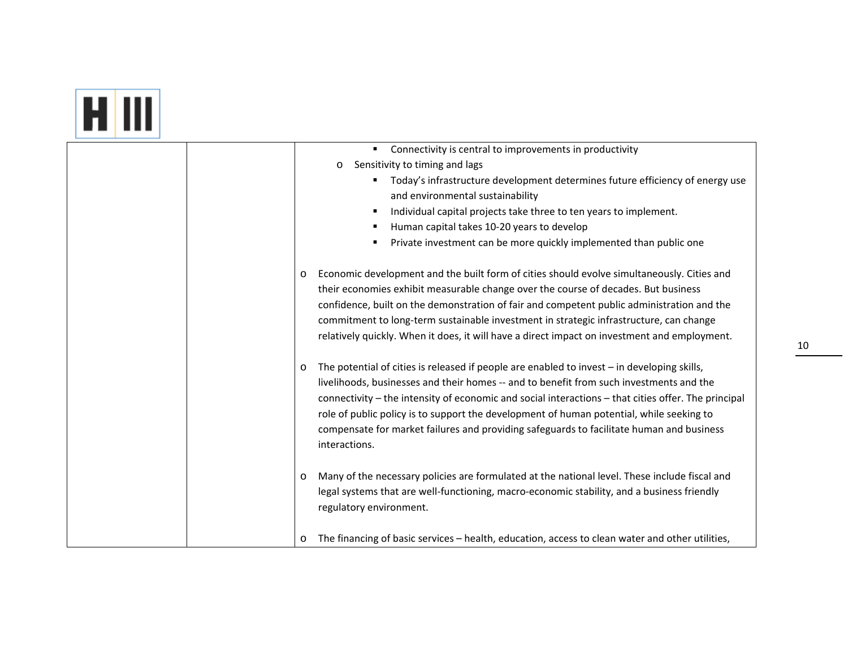# <u>ET III</u>

| Connectivity is central to improvements in productivity<br>٠                                                                                                                                                                                                                                                                                                                                                                                                                                                      |
|-------------------------------------------------------------------------------------------------------------------------------------------------------------------------------------------------------------------------------------------------------------------------------------------------------------------------------------------------------------------------------------------------------------------------------------------------------------------------------------------------------------------|
| Sensitivity to timing and lags<br>O                                                                                                                                                                                                                                                                                                                                                                                                                                                                               |
| Today's infrastructure development determines future efficiency of energy use<br>$\blacksquare$                                                                                                                                                                                                                                                                                                                                                                                                                   |
| and environmental sustainability                                                                                                                                                                                                                                                                                                                                                                                                                                                                                  |
| Individual capital projects take three to ten years to implement.                                                                                                                                                                                                                                                                                                                                                                                                                                                 |
| Human capital takes 10-20 years to develop                                                                                                                                                                                                                                                                                                                                                                                                                                                                        |
| Private investment can be more quickly implemented than public one                                                                                                                                                                                                                                                                                                                                                                                                                                                |
| Economic development and the built form of cities should evolve simultaneously. Cities and<br>$\circ$<br>their economies exhibit measurable change over the course of decades. But business<br>confidence, built on the demonstration of fair and competent public administration and the<br>commitment to long-term sustainable investment in strategic infrastructure, can change<br>relatively quickly. When it does, it will have a direct impact on investment and employment.                               |
| The potential of cities is released if people are enabled to invest - in developing skills,<br>$\circ$<br>livelihoods, businesses and their homes -- and to benefit from such investments and the<br>connectivity - the intensity of economic and social interactions - that cities offer. The principal<br>role of public policy is to support the development of human potential, while seeking to<br>compensate for market failures and providing safeguards to facilitate human and business<br>interactions. |
| Many of the necessary policies are formulated at the national level. These include fiscal and<br>$\circ$<br>legal systems that are well-functioning, macro-economic stability, and a business friendly<br>regulatory environment.                                                                                                                                                                                                                                                                                 |
| The financing of basic services - health, education, access to clean water and other utilities,<br>$\circ$                                                                                                                                                                                                                                                                                                                                                                                                        |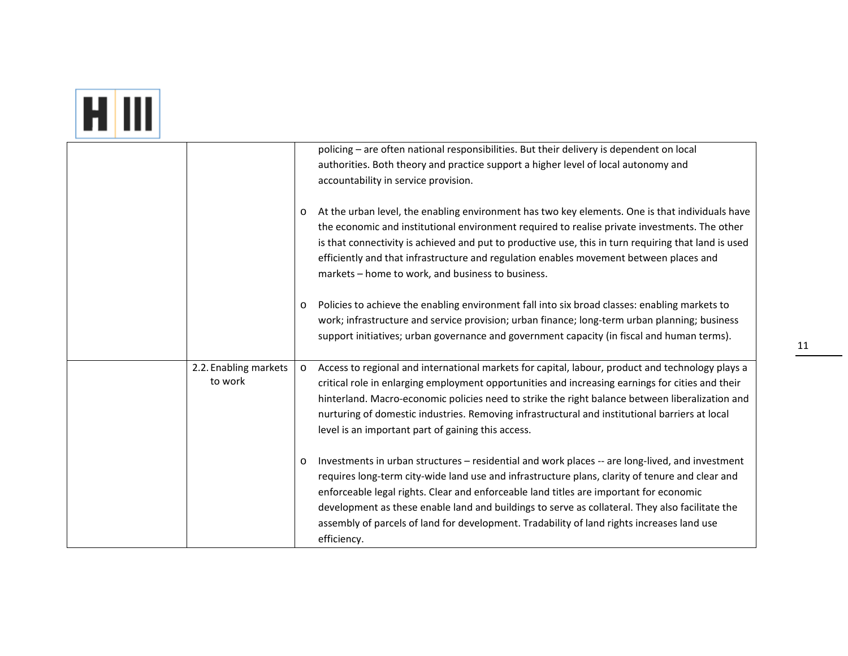# **H** III

|                       |         | policing - are often national responsibilities. But their delivery is dependent on local                                                                                                                                                                                                                                                                                                                                                                |
|-----------------------|---------|---------------------------------------------------------------------------------------------------------------------------------------------------------------------------------------------------------------------------------------------------------------------------------------------------------------------------------------------------------------------------------------------------------------------------------------------------------|
|                       |         | authorities. Both theory and practice support a higher level of local autonomy and                                                                                                                                                                                                                                                                                                                                                                      |
|                       |         | accountability in service provision.                                                                                                                                                                                                                                                                                                                                                                                                                    |
|                       | $\circ$ | At the urban level, the enabling environment has two key elements. One is that individuals have<br>the economic and institutional environment required to realise private investments. The other<br>is that connectivity is achieved and put to productive use, this in turn requiring that land is used<br>efficiently and that infrastructure and regulation enables movement between places and<br>markets - home to work, and business to business. |
|                       | $\circ$ | Policies to achieve the enabling environment fall into six broad classes: enabling markets to                                                                                                                                                                                                                                                                                                                                                           |
|                       |         | work; infrastructure and service provision; urban finance; long-term urban planning; business                                                                                                                                                                                                                                                                                                                                                           |
|                       |         | support initiatives; urban governance and government capacity (in fiscal and human terms).                                                                                                                                                                                                                                                                                                                                                              |
|                       |         |                                                                                                                                                                                                                                                                                                                                                                                                                                                         |
| 2.2. Enabling markets | $\circ$ | Access to regional and international markets for capital, labour, product and technology plays a                                                                                                                                                                                                                                                                                                                                                        |
| to work               |         | critical role in enlarging employment opportunities and increasing earnings for cities and their                                                                                                                                                                                                                                                                                                                                                        |
|                       |         | hinterland. Macro-economic policies need to strike the right balance between liberalization and                                                                                                                                                                                                                                                                                                                                                         |
|                       |         | nurturing of domestic industries. Removing infrastructural and institutional barriers at local                                                                                                                                                                                                                                                                                                                                                          |
|                       |         | level is an important part of gaining this access.                                                                                                                                                                                                                                                                                                                                                                                                      |
|                       |         |                                                                                                                                                                                                                                                                                                                                                                                                                                                         |
|                       | O       | Investments in urban structures - residential and work places -- are long-lived, and investment                                                                                                                                                                                                                                                                                                                                                         |
|                       |         | requires long-term city-wide land use and infrastructure plans, clarity of tenure and clear and                                                                                                                                                                                                                                                                                                                                                         |
|                       |         | enforceable legal rights. Clear and enforceable land titles are important for economic                                                                                                                                                                                                                                                                                                                                                                  |
|                       |         | development as these enable land and buildings to serve as collateral. They also facilitate the                                                                                                                                                                                                                                                                                                                                                         |
|                       |         | assembly of parcels of land for development. Tradability of land rights increases land use                                                                                                                                                                                                                                                                                                                                                              |
|                       |         | efficiency.                                                                                                                                                                                                                                                                                                                                                                                                                                             |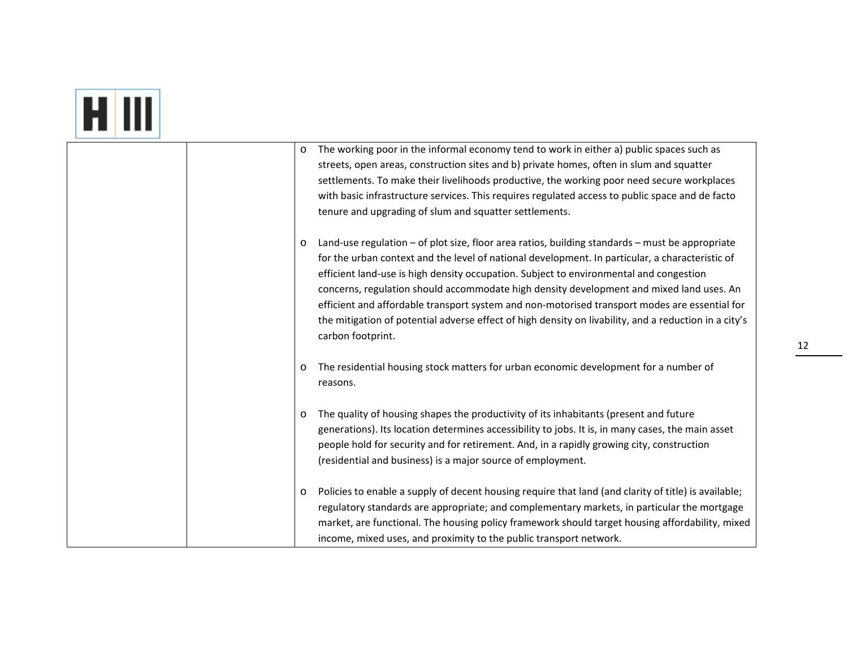## **HI**

| $\circ$ | The working poor in the informal economy tend to work in either a) public spaces such as              |
|---------|-------------------------------------------------------------------------------------------------------|
|         | streets, open areas, construction sites and b) private homes, often in slum and squatter              |
|         | settlements. To make their livelihoods productive, the working poor need secure workplaces            |
|         | with basic infrastructure services. This requires regulated access to public space and de facto       |
|         | tenure and upgrading of slum and squatter settlements.                                                |
|         |                                                                                                       |
| $\circ$ | Land-use regulation – of plot size, floor area ratios, building standards – must be appropriate       |
|         | for the urban context and the level of national development. In particular, a characteristic of       |
|         | efficient land-use is high density occupation. Subject to environmental and congestion                |
|         | concerns, regulation should accommodate high density development and mixed land uses. An              |
|         | efficient and affordable transport system and non-motorised transport modes are essential for         |
|         | the mitigation of potential adverse effect of high density on livability, and a reduction in a city's |
|         | carbon footprint.                                                                                     |
| $\circ$ | The residential housing stock matters for urban economic development for a number of                  |
|         | reasons.                                                                                              |
|         |                                                                                                       |
| O       | The quality of housing shapes the productivity of its inhabitants (present and future                 |
|         | generations). Its location determines accessibility to jobs. It is, in many cases, the main asset     |
|         | people hold for security and for retirement. And, in a rapidly growing city, construction             |
|         | (residential and business) is a major source of employment.                                           |
|         |                                                                                                       |
| $\circ$ | Policies to enable a supply of decent housing require that land (and clarity of title) is available;  |
|         | regulatory standards are appropriate; and complementary markets, in particular the mortgage           |
|         | market, are functional. The housing policy framework should target housing affordability, mixed       |
|         | income, mixed uses, and proximity to the public transport network.                                    |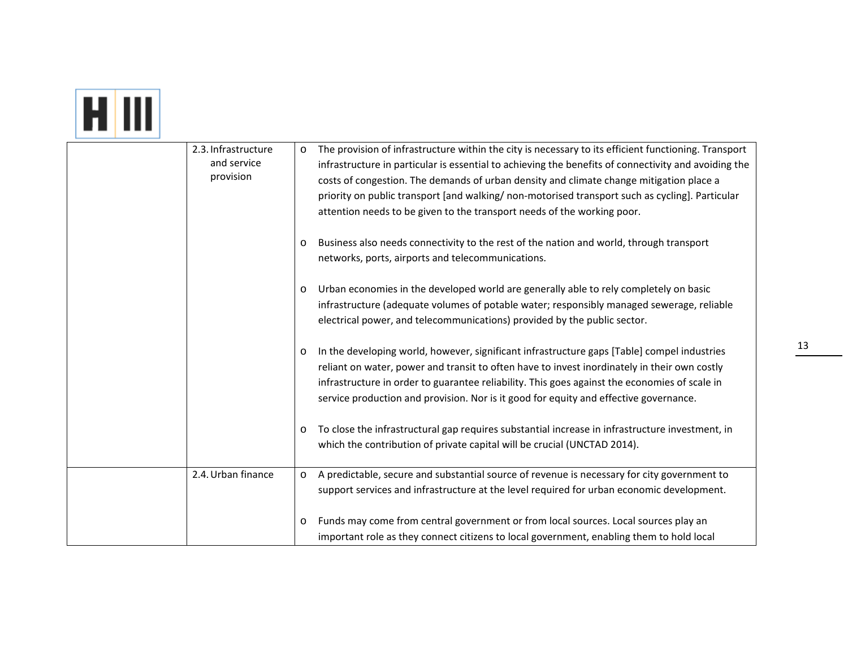## **COLOR**

| 2.3. Infrastructure<br>and service<br>provision | $\circ$ | The provision of infrastructure within the city is necessary to its efficient functioning. Transport<br>infrastructure in particular is essential to achieving the benefits of connectivity and avoiding the<br>costs of congestion. The demands of urban density and climate change mitigation place a<br>priority on public transport [and walking/ non-motorised transport such as cycling]. Particular<br>attention needs to be given to the transport needs of the working poor. |
|-------------------------------------------------|---------|---------------------------------------------------------------------------------------------------------------------------------------------------------------------------------------------------------------------------------------------------------------------------------------------------------------------------------------------------------------------------------------------------------------------------------------------------------------------------------------|
|                                                 | $\circ$ | Business also needs connectivity to the rest of the nation and world, through transport<br>networks, ports, airports and telecommunications.                                                                                                                                                                                                                                                                                                                                          |
|                                                 | $\circ$ | Urban economies in the developed world are generally able to rely completely on basic<br>infrastructure (adequate volumes of potable water; responsibly managed sewerage, reliable<br>electrical power, and telecommunications) provided by the public sector.                                                                                                                                                                                                                        |
|                                                 | $\circ$ | In the developing world, however, significant infrastructure gaps [Table] compel industries<br>reliant on water, power and transit to often have to invest inordinately in their own costly<br>infrastructure in order to guarantee reliability. This goes against the economies of scale in<br>service production and provision. Nor is it good for equity and effective governance.                                                                                                 |
|                                                 | $\circ$ | To close the infrastructural gap requires substantial increase in infrastructure investment, in<br>which the contribution of private capital will be crucial (UNCTAD 2014).                                                                                                                                                                                                                                                                                                           |
| 2.4. Urban finance                              | $\circ$ | A predictable, secure and substantial source of revenue is necessary for city government to<br>support services and infrastructure at the level required for urban economic development.                                                                                                                                                                                                                                                                                              |
|                                                 | $\circ$ | Funds may come from central government or from local sources. Local sources play an<br>important role as they connect citizens to local government, enabling them to hold local                                                                                                                                                                                                                                                                                                       |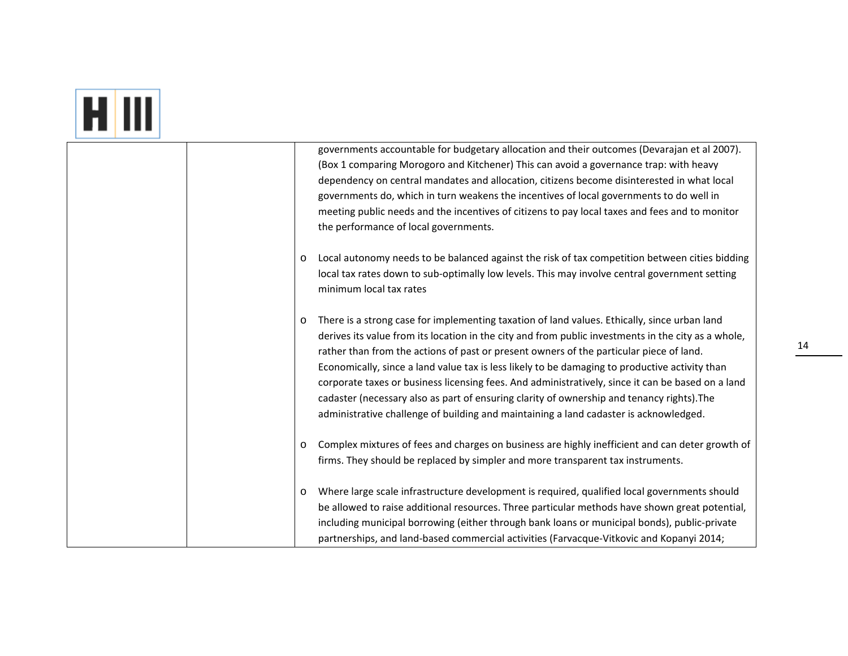### **COM**

| governments accountable for budgetary allocation and their outcomes (Devarajan et al 2007).                |
|------------------------------------------------------------------------------------------------------------|
| (Box 1 comparing Morogoro and Kitchener) This can avoid a governance trap: with heavy                      |
| dependency on central mandates and allocation, citizens become disinterested in what local                 |
| governments do, which in turn weakens the incentives of local governments to do well in                    |
| meeting public needs and the incentives of citizens to pay local taxes and fees and to monitor             |
| the performance of local governments.                                                                      |
|                                                                                                            |
| Local autonomy needs to be balanced against the risk of tax competition between cities bidding<br>$\circ$  |
| local tax rates down to sub-optimally low levels. This may involve central government setting              |
| minimum local tax rates                                                                                    |
|                                                                                                            |
| There is a strong case for implementing taxation of land values. Ethically, since urban land<br>$\circ$    |
| derives its value from its location in the city and from public investments in the city as a whole,        |
| rather than from the actions of past or present owners of the particular piece of land.                    |
| Economically, since a land value tax is less likely to be damaging to productive activity than             |
| corporate taxes or business licensing fees. And administratively, since it can be based on a land          |
| cadaster (necessary also as part of ensuring clarity of ownership and tenancy rights). The                 |
| administrative challenge of building and maintaining a land cadaster is acknowledged.                      |
|                                                                                                            |
| Complex mixtures of fees and charges on business are highly inefficient and can deter growth of<br>$\circ$ |
| firms. They should be replaced by simpler and more transparent tax instruments.                            |
|                                                                                                            |
| Where large scale infrastructure development is required, qualified local governments should<br>$\circ$    |
| be allowed to raise additional resources. Three particular methods have shown great potential,             |
|                                                                                                            |
| including municipal borrowing (either through bank loans or municipal bonds), public-private               |
| partnerships, and land-based commercial activities (Farvacque-Vitkovic and Kopanyi 2014;                   |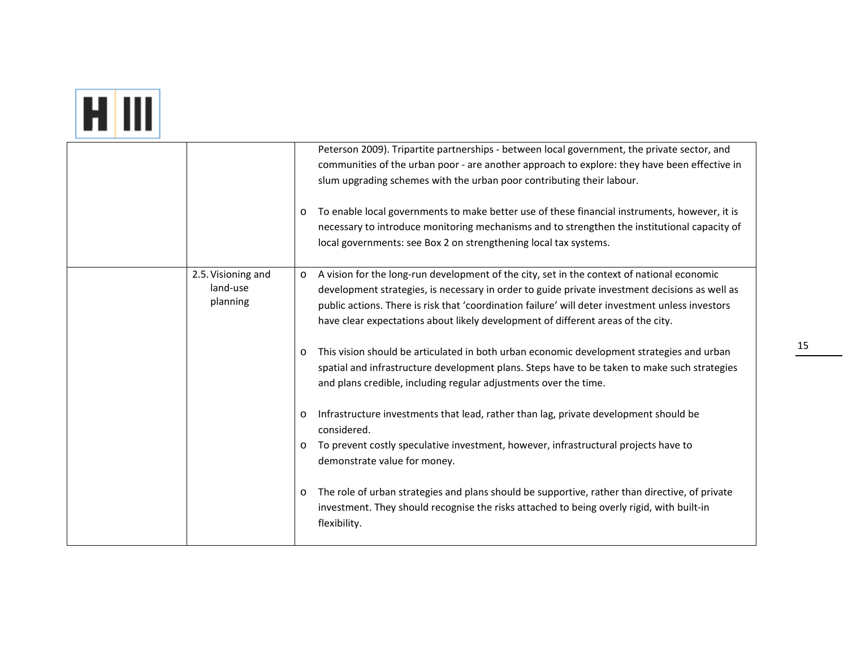# **HI**

|                                            | $\circ$                                             | Peterson 2009). Tripartite partnerships - between local government, the private sector, and<br>communities of the urban poor - are another approach to explore: they have been effective in<br>slum upgrading schemes with the urban poor contributing their labour.<br>To enable local governments to make better use of these financial instruments, however, it is<br>necessary to introduce monitoring mechanisms and to strengthen the institutional capacity of<br>local governments: see Box 2 on strengthening local tax systems.                                                                                                                                                                                                                                                                                                                                                                                                                                                                                                                                                          |
|--------------------------------------------|-----------------------------------------------------|----------------------------------------------------------------------------------------------------------------------------------------------------------------------------------------------------------------------------------------------------------------------------------------------------------------------------------------------------------------------------------------------------------------------------------------------------------------------------------------------------------------------------------------------------------------------------------------------------------------------------------------------------------------------------------------------------------------------------------------------------------------------------------------------------------------------------------------------------------------------------------------------------------------------------------------------------------------------------------------------------------------------------------------------------------------------------------------------------|
| 2.5. Visioning and<br>land-use<br>planning | $\circ$<br>$\circ$<br>$\circ$<br>$\circ$<br>$\circ$ | A vision for the long-run development of the city, set in the context of national economic<br>development strategies, is necessary in order to guide private investment decisions as well as<br>public actions. There is risk that 'coordination failure' will deter investment unless investors<br>have clear expectations about likely development of different areas of the city.<br>This vision should be articulated in both urban economic development strategies and urban<br>spatial and infrastructure development plans. Steps have to be taken to make such strategies<br>and plans credible, including regular adjustments over the time.<br>Infrastructure investments that lead, rather than lag, private development should be<br>considered.<br>To prevent costly speculative investment, however, infrastructural projects have to<br>demonstrate value for money.<br>The role of urban strategies and plans should be supportive, rather than directive, of private<br>investment. They should recognise the risks attached to being overly rigid, with built-in<br>flexibility. |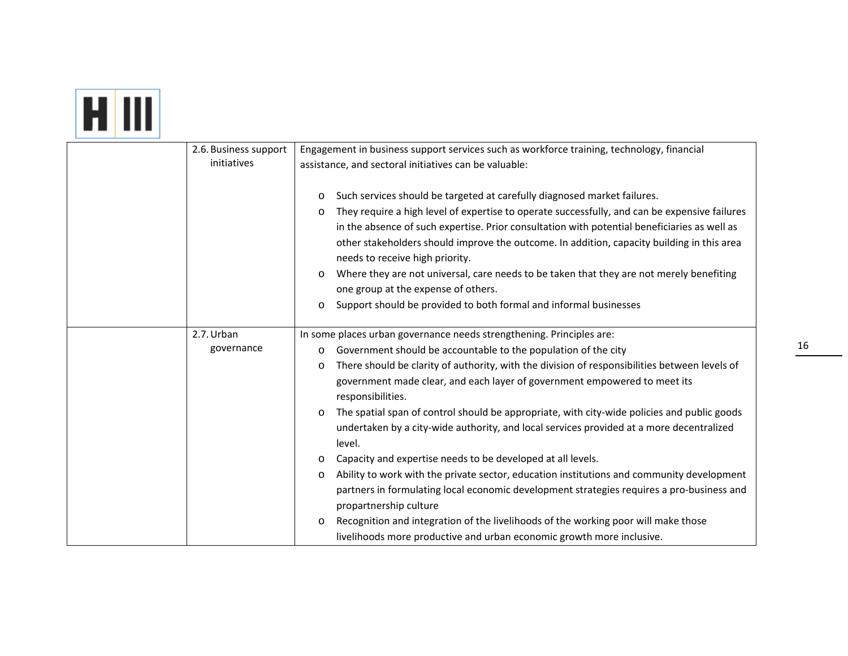### **ETTI**

| 2.6. Business support | Engagement in business support services such as workforce training, technology, financial                |
|-----------------------|----------------------------------------------------------------------------------------------------------|
| initiatives           | assistance, and sectoral initiatives can be valuable:                                                    |
|                       |                                                                                                          |
|                       | Such services should be targeted at carefully diagnosed market failures.<br>$\circ$                      |
|                       | They require a high level of expertise to operate successfully, and can be expensive failures<br>$\circ$ |
|                       | in the absence of such expertise. Prior consultation with potential beneficiaries as well as             |
|                       | other stakeholders should improve the outcome. In addition, capacity building in this area               |
|                       | needs to receive high priority.                                                                          |
|                       | Where they are not universal, care needs to be taken that they are not merely benefiting<br>$\circ$      |
|                       | one group at the expense of others.                                                                      |
|                       | Support should be provided to both formal and informal businesses<br>$\circ$                             |
|                       |                                                                                                          |
| 2.7. Urban            | In some places urban governance needs strengthening. Principles are:                                     |
| governance            | Government should be accountable to the population of the city<br>$\circ$                                |
|                       | There should be clarity of authority, with the division of responsibilities between levels of<br>$\circ$ |
|                       | government made clear, and each layer of government empowered to meet its                                |
|                       | responsibilities.                                                                                        |
|                       | The spatial span of control should be appropriate, with city-wide policies and public goods<br>$\circ$   |
|                       | undertaken by a city-wide authority, and local services provided at a more decentralized                 |
|                       | level.                                                                                                   |
|                       | Capacity and expertise needs to be developed at all levels.<br>$\circ$                                   |
|                       | Ability to work with the private sector, education institutions and community development<br>$\circ$     |
|                       | partners in formulating local economic development strategies requires a pro-business and                |
|                       | propartnership culture                                                                                   |
|                       | Recognition and integration of the livelihoods of the working poor will make those<br>$\circ$            |
|                       | livelihoods more productive and urban economic growth more inclusive.                                    |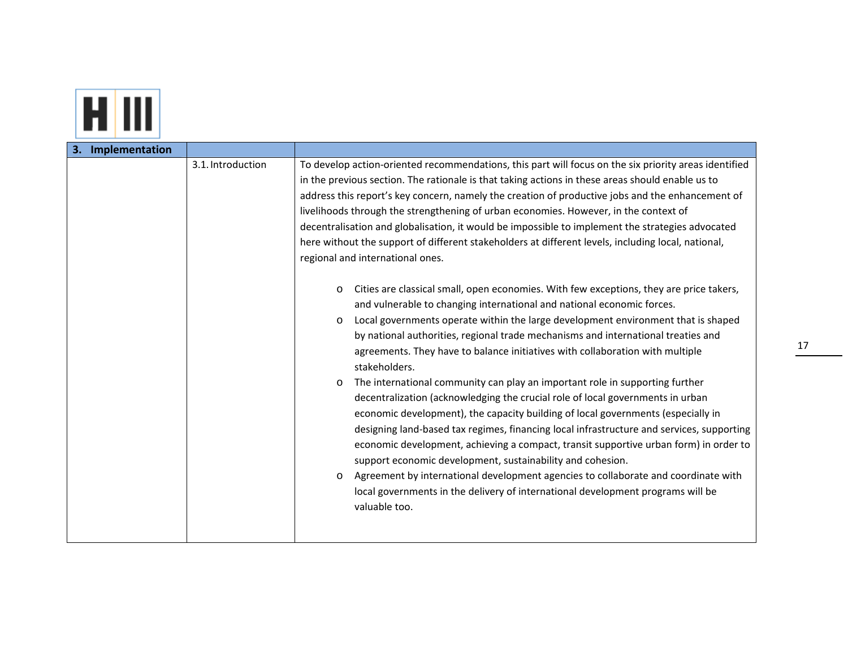

| Implementation<br>З. |                   |                                                                                                                                                                                                                                                                                                                                                                                                                                                                                                                                                                                                                                                                                                                                                                                                                                                                                                                                                                                                                                                                                                                                                                                                                                                                                                                                                                                                                                                                                                                                                                                                                                                                                                                                                                                                                                                      |
|----------------------|-------------------|------------------------------------------------------------------------------------------------------------------------------------------------------------------------------------------------------------------------------------------------------------------------------------------------------------------------------------------------------------------------------------------------------------------------------------------------------------------------------------------------------------------------------------------------------------------------------------------------------------------------------------------------------------------------------------------------------------------------------------------------------------------------------------------------------------------------------------------------------------------------------------------------------------------------------------------------------------------------------------------------------------------------------------------------------------------------------------------------------------------------------------------------------------------------------------------------------------------------------------------------------------------------------------------------------------------------------------------------------------------------------------------------------------------------------------------------------------------------------------------------------------------------------------------------------------------------------------------------------------------------------------------------------------------------------------------------------------------------------------------------------------------------------------------------------------------------------------------------------|
|                      | 3.1. Introduction | To develop action-oriented recommendations, this part will focus on the six priority areas identified<br>in the previous section. The rationale is that taking actions in these areas should enable us to<br>address this report's key concern, namely the creation of productive jobs and the enhancement of<br>livelihoods through the strengthening of urban economies. However, in the context of<br>decentralisation and globalisation, it would be impossible to implement the strategies advocated<br>here without the support of different stakeholders at different levels, including local, national,<br>regional and international ones.<br>Cities are classical small, open economies. With few exceptions, they are price takers,<br>$\circ$<br>and vulnerable to changing international and national economic forces.<br>Local governments operate within the large development environment that is shaped<br>$\circ$<br>by national authorities, regional trade mechanisms and international treaties and<br>agreements. They have to balance initiatives with collaboration with multiple<br>stakeholders.<br>The international community can play an important role in supporting further<br>$\circ$<br>decentralization (acknowledging the crucial role of local governments in urban<br>economic development), the capacity building of local governments (especially in<br>designing land-based tax regimes, financing local infrastructure and services, supporting<br>economic development, achieving a compact, transit supportive urban form) in order to<br>support economic development, sustainability and cohesion.<br>Agreement by international development agencies to collaborate and coordinate with<br>$\circ$<br>local governments in the delivery of international development programs will be<br>valuable too. |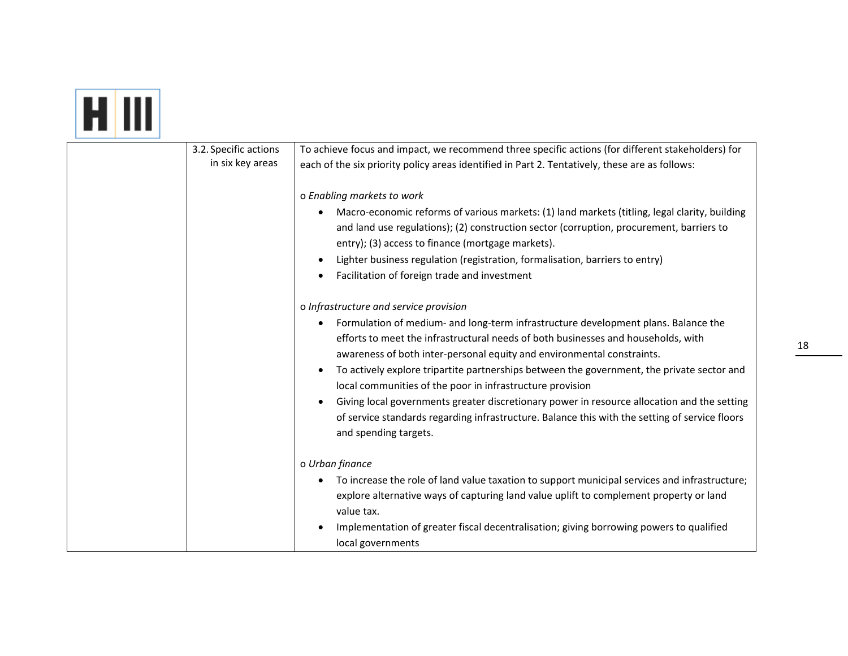# **EL III**

| 3.2. Specific actions<br>in six key areas | To achieve focus and impact, we recommend three specific actions (for different stakeholders) for<br>each of the six priority policy areas identified in Part 2. Tentatively, these are as follows:                                                                                                                                                                                                                                                                                                                                                                                                                                                                              |
|-------------------------------------------|----------------------------------------------------------------------------------------------------------------------------------------------------------------------------------------------------------------------------------------------------------------------------------------------------------------------------------------------------------------------------------------------------------------------------------------------------------------------------------------------------------------------------------------------------------------------------------------------------------------------------------------------------------------------------------|
|                                           | o Enabling markets to work<br>Macro-economic reforms of various markets: (1) land markets (titling, legal clarity, building<br>and land use regulations); (2) construction sector (corruption, procurement, barriers to<br>entry); (3) access to finance (mortgage markets).<br>Lighter business regulation (registration, formalisation, barriers to entry)<br>Facilitation of foreign trade and investment                                                                                                                                                                                                                                                                     |
|                                           | o Infrastructure and service provision<br>Formulation of medium- and long-term infrastructure development plans. Balance the<br>efforts to meet the infrastructural needs of both businesses and households, with<br>awareness of both inter-personal equity and environmental constraints.<br>To actively explore tripartite partnerships between the government, the private sector and<br>local communities of the poor in infrastructure provision<br>Giving local governments greater discretionary power in resource allocation and the setting<br>of service standards regarding infrastructure. Balance this with the setting of service floors<br>and spending targets. |
|                                           | o Urban finance<br>To increase the role of land value taxation to support municipal services and infrastructure;<br>explore alternative ways of capturing land value uplift to complement property or land<br>value tax.<br>Implementation of greater fiscal decentralisation; giving borrowing powers to qualified<br>local governments                                                                                                                                                                                                                                                                                                                                         |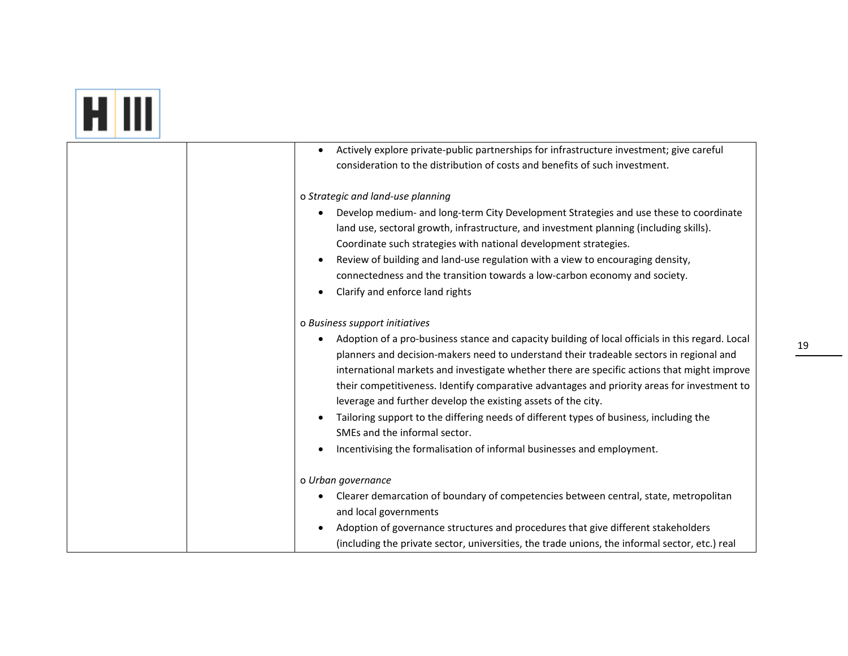## **ET IIII**

| Actively explore private-public partnerships for infrastructure investment; give careful         |
|--------------------------------------------------------------------------------------------------|
| consideration to the distribution of costs and benefits of such investment.                      |
|                                                                                                  |
| o Strategic and land-use planning                                                                |
| Develop medium- and long-term City Development Strategies and use these to coordinate            |
| land use, sectoral growth, infrastructure, and investment planning (including skills).           |
| Coordinate such strategies with national development strategies.                                 |
| Review of building and land-use regulation with a view to encouraging density,                   |
| connectedness and the transition towards a low-carbon economy and society.                       |
| Clarify and enforce land rights                                                                  |
|                                                                                                  |
| o Business support initiatives                                                                   |
| Adoption of a pro-business stance and capacity building of local officials in this regard. Local |
| planners and decision-makers need to understand their tradeable sectors in regional and          |
| international markets and investigate whether there are specific actions that might improve      |
| their competitiveness. Identify comparative advantages and priority areas for investment to      |
| leverage and further develop the existing assets of the city.                                    |
| Tailoring support to the differing needs of different types of business, including the           |
| SMEs and the informal sector.                                                                    |
| Incentivising the formalisation of informal businesses and employment.                           |
|                                                                                                  |
| o Urban governance                                                                               |
| Clearer demarcation of boundary of competencies between central, state, metropolitan             |
| and local governments                                                                            |
| Adoption of governance structures and procedures that give different stakeholders                |
| (including the private sector, universities, the trade unions, the informal sector, etc.) real   |
|                                                                                                  |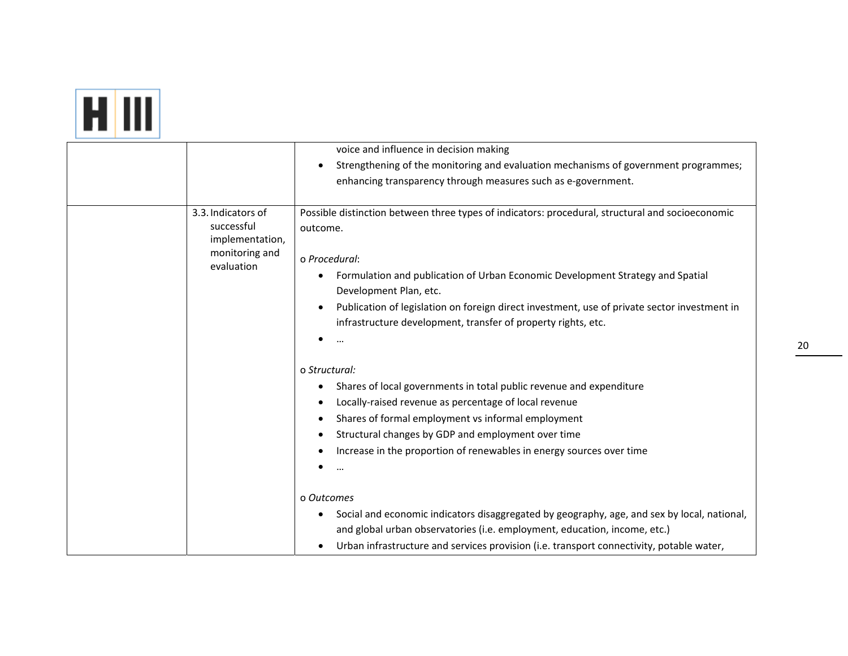| voice and influence in decision making<br>Strengthening of the monitoring and evaluation mechanisms of government programmes;<br>enhancing transparency through measures such as e-government.<br>3.3. Indicators of<br>Possible distinction between three types of indicators: procedural, structural and socioeconomic<br>successful<br>outcome.<br>implementation,<br>monitoring and<br>o Procedural:<br>evaluation<br>Formulation and publication of Urban Economic Development Strategy and Spatial<br>$\bullet$<br>Development Plan, etc.<br>Publication of legislation on foreign direct investment, use of private sector investment in<br>$\bullet$<br>infrastructure development, transfer of property rights, etc.<br>o Structural:<br>Shares of local governments in total public revenue and expenditure<br>Locally-raised revenue as percentage of local revenue<br>$\bullet$<br>Shares of formal employment vs informal employment<br>$\bullet$<br>Structural changes by GDP and employment over time<br>Increase in the proportion of renewables in energy sources over time<br>o Outcomes<br>Social and economic indicators disaggregated by geography, age, and sex by local, national,<br>$\bullet$<br>and global urban observatories (i.e. employment, education, income, etc.)<br>Urban infrastructure and services provision (i.e. transport connectivity, potable water, |  |  |
|-------------------------------------------------------------------------------------------------------------------------------------------------------------------------------------------------------------------------------------------------------------------------------------------------------------------------------------------------------------------------------------------------------------------------------------------------------------------------------------------------------------------------------------------------------------------------------------------------------------------------------------------------------------------------------------------------------------------------------------------------------------------------------------------------------------------------------------------------------------------------------------------------------------------------------------------------------------------------------------------------------------------------------------------------------------------------------------------------------------------------------------------------------------------------------------------------------------------------------------------------------------------------------------------------------------------------------------------------------------------------------------------------|--|--|
|                                                                                                                                                                                                                                                                                                                                                                                                                                                                                                                                                                                                                                                                                                                                                                                                                                                                                                                                                                                                                                                                                                                                                                                                                                                                                                                                                                                                 |  |  |
|                                                                                                                                                                                                                                                                                                                                                                                                                                                                                                                                                                                                                                                                                                                                                                                                                                                                                                                                                                                                                                                                                                                                                                                                                                                                                                                                                                                                 |  |  |
|                                                                                                                                                                                                                                                                                                                                                                                                                                                                                                                                                                                                                                                                                                                                                                                                                                                                                                                                                                                                                                                                                                                                                                                                                                                                                                                                                                                                 |  |  |
|                                                                                                                                                                                                                                                                                                                                                                                                                                                                                                                                                                                                                                                                                                                                                                                                                                                                                                                                                                                                                                                                                                                                                                                                                                                                                                                                                                                                 |  |  |
|                                                                                                                                                                                                                                                                                                                                                                                                                                                                                                                                                                                                                                                                                                                                                                                                                                                                                                                                                                                                                                                                                                                                                                                                                                                                                                                                                                                                 |  |  |
|                                                                                                                                                                                                                                                                                                                                                                                                                                                                                                                                                                                                                                                                                                                                                                                                                                                                                                                                                                                                                                                                                                                                                                                                                                                                                                                                                                                                 |  |  |
|                                                                                                                                                                                                                                                                                                                                                                                                                                                                                                                                                                                                                                                                                                                                                                                                                                                                                                                                                                                                                                                                                                                                                                                                                                                                                                                                                                                                 |  |  |
|                                                                                                                                                                                                                                                                                                                                                                                                                                                                                                                                                                                                                                                                                                                                                                                                                                                                                                                                                                                                                                                                                                                                                                                                                                                                                                                                                                                                 |  |  |
|                                                                                                                                                                                                                                                                                                                                                                                                                                                                                                                                                                                                                                                                                                                                                                                                                                                                                                                                                                                                                                                                                                                                                                                                                                                                                                                                                                                                 |  |  |
|                                                                                                                                                                                                                                                                                                                                                                                                                                                                                                                                                                                                                                                                                                                                                                                                                                                                                                                                                                                                                                                                                                                                                                                                                                                                                                                                                                                                 |  |  |
|                                                                                                                                                                                                                                                                                                                                                                                                                                                                                                                                                                                                                                                                                                                                                                                                                                                                                                                                                                                                                                                                                                                                                                                                                                                                                                                                                                                                 |  |  |
|                                                                                                                                                                                                                                                                                                                                                                                                                                                                                                                                                                                                                                                                                                                                                                                                                                                                                                                                                                                                                                                                                                                                                                                                                                                                                                                                                                                                 |  |  |
|                                                                                                                                                                                                                                                                                                                                                                                                                                                                                                                                                                                                                                                                                                                                                                                                                                                                                                                                                                                                                                                                                                                                                                                                                                                                                                                                                                                                 |  |  |
|                                                                                                                                                                                                                                                                                                                                                                                                                                                                                                                                                                                                                                                                                                                                                                                                                                                                                                                                                                                                                                                                                                                                                                                                                                                                                                                                                                                                 |  |  |
|                                                                                                                                                                                                                                                                                                                                                                                                                                                                                                                                                                                                                                                                                                                                                                                                                                                                                                                                                                                                                                                                                                                                                                                                                                                                                                                                                                                                 |  |  |
|                                                                                                                                                                                                                                                                                                                                                                                                                                                                                                                                                                                                                                                                                                                                                                                                                                                                                                                                                                                                                                                                                                                                                                                                                                                                                                                                                                                                 |  |  |
|                                                                                                                                                                                                                                                                                                                                                                                                                                                                                                                                                                                                                                                                                                                                                                                                                                                                                                                                                                                                                                                                                                                                                                                                                                                                                                                                                                                                 |  |  |
|                                                                                                                                                                                                                                                                                                                                                                                                                                                                                                                                                                                                                                                                                                                                                                                                                                                                                                                                                                                                                                                                                                                                                                                                                                                                                                                                                                                                 |  |  |
|                                                                                                                                                                                                                                                                                                                                                                                                                                                                                                                                                                                                                                                                                                                                                                                                                                                                                                                                                                                                                                                                                                                                                                                                                                                                                                                                                                                                 |  |  |
|                                                                                                                                                                                                                                                                                                                                                                                                                                                                                                                                                                                                                                                                                                                                                                                                                                                                                                                                                                                                                                                                                                                                                                                                                                                                                                                                                                                                 |  |  |
|                                                                                                                                                                                                                                                                                                                                                                                                                                                                                                                                                                                                                                                                                                                                                                                                                                                                                                                                                                                                                                                                                                                                                                                                                                                                                                                                                                                                 |  |  |
|                                                                                                                                                                                                                                                                                                                                                                                                                                                                                                                                                                                                                                                                                                                                                                                                                                                                                                                                                                                                                                                                                                                                                                                                                                                                                                                                                                                                 |  |  |
|                                                                                                                                                                                                                                                                                                                                                                                                                                                                                                                                                                                                                                                                                                                                                                                                                                                                                                                                                                                                                                                                                                                                                                                                                                                                                                                                                                                                 |  |  |
|                                                                                                                                                                                                                                                                                                                                                                                                                                                                                                                                                                                                                                                                                                                                                                                                                                                                                                                                                                                                                                                                                                                                                                                                                                                                                                                                                                                                 |  |  |
|                                                                                                                                                                                                                                                                                                                                                                                                                                                                                                                                                                                                                                                                                                                                                                                                                                                                                                                                                                                                                                                                                                                                                                                                                                                                                                                                                                                                 |  |  |
|                                                                                                                                                                                                                                                                                                                                                                                                                                                                                                                                                                                                                                                                                                                                                                                                                                                                                                                                                                                                                                                                                                                                                                                                                                                                                                                                                                                                 |  |  |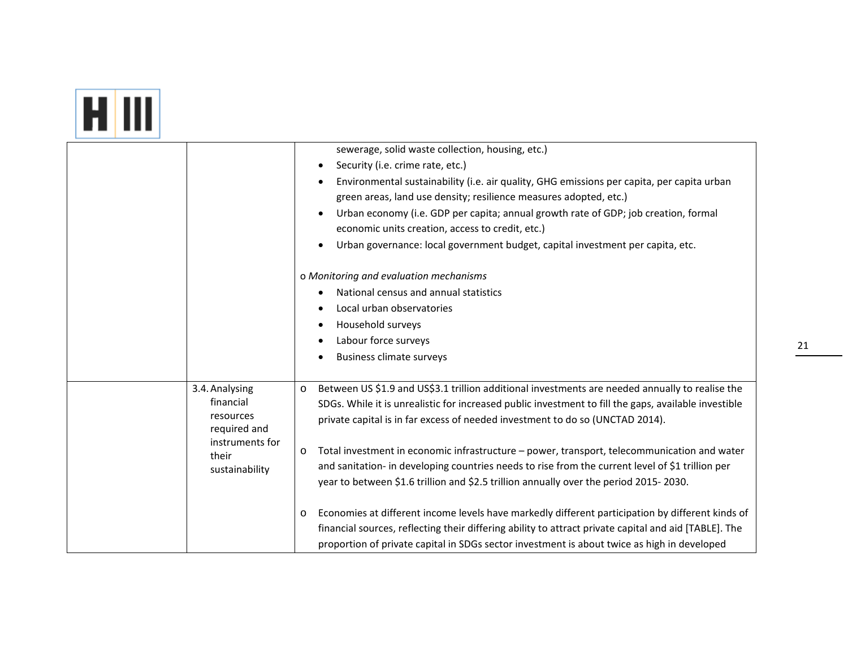|                                                                                     | sewerage, solid waste collection, housing, etc.)<br>Security (i.e. crime rate, etc.)<br>$\bullet$<br>Environmental sustainability (i.e. air quality, GHG emissions per capita, per capita urban<br>٠                                                                                                                                                                                                                                                                                                                                                                                                                    |
|-------------------------------------------------------------------------------------|-------------------------------------------------------------------------------------------------------------------------------------------------------------------------------------------------------------------------------------------------------------------------------------------------------------------------------------------------------------------------------------------------------------------------------------------------------------------------------------------------------------------------------------------------------------------------------------------------------------------------|
|                                                                                     | green areas, land use density; resilience measures adopted, etc.)<br>Urban economy (i.e. GDP per capita; annual growth rate of GDP; job creation, formal<br>$\bullet$<br>economic units creation, access to credit, etc.)<br>Urban governance: local government budget, capital investment per capita, etc.<br>$\bullet$                                                                                                                                                                                                                                                                                                |
|                                                                                     | o Monitoring and evaluation mechanisms<br>National census and annual statistics<br>Local urban observatories<br>Household surveys<br>٠<br>Labour force surveys<br><b>Business climate surveys</b>                                                                                                                                                                                                                                                                                                                                                                                                                       |
| 3.4. Analysing<br>financial<br>resources<br>required and<br>their<br>sustainability | Between US \$1.9 and US\$3.1 trillion additional investments are needed annually to realise the<br>$\circ$<br>SDGs. While it is unrealistic for increased public investment to fill the gaps, available investible<br>private capital is in far excess of needed investment to do so (UNCTAD 2014).<br>instruments for<br>Total investment in economic infrastructure - power, transport, telecommunication and water<br>O<br>and sanitation- in developing countries needs to rise from the current level of \$1 trillion per<br>year to between \$1.6 trillion and \$2.5 trillion annually over the period 2015-2030. |
|                                                                                     | Economies at different income levels have markedly different participation by different kinds of<br>O<br>financial sources, reflecting their differing ability to attract private capital and aid [TABLE]. The<br>proportion of private capital in SDGs sector investment is about twice as high in developed                                                                                                                                                                                                                                                                                                           |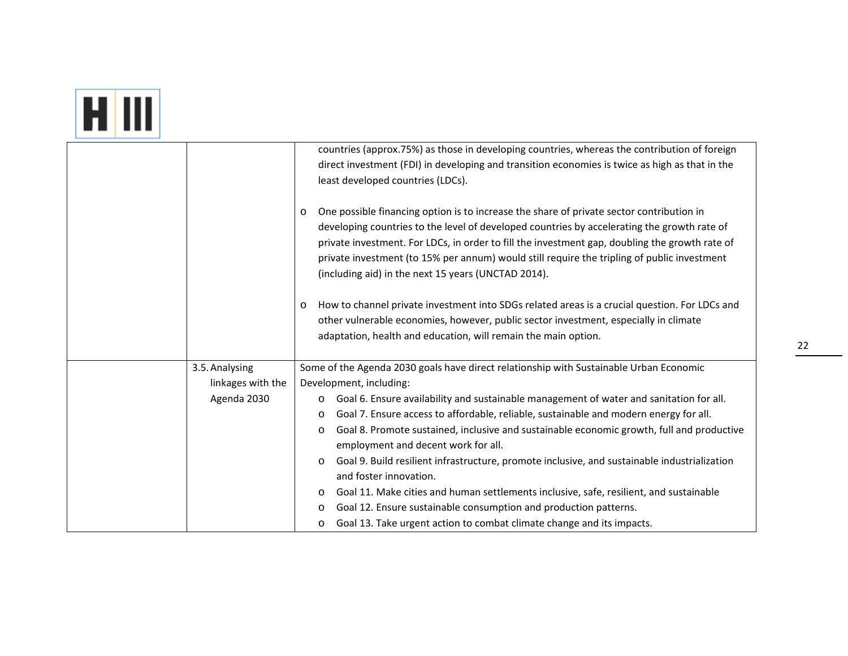|--|

|                   | countries (approx.75%) as those in developing countries, whereas the contribution of foreign<br>direct investment (FDI) in developing and transition economies is twice as high as that in the<br>least developed countries (LDCs).                                                                                                                                                                                                                                                                                                                                                                                                                    |
|-------------------|--------------------------------------------------------------------------------------------------------------------------------------------------------------------------------------------------------------------------------------------------------------------------------------------------------------------------------------------------------------------------------------------------------------------------------------------------------------------------------------------------------------------------------------------------------------------------------------------------------------------------------------------------------|
|                   | One possible financing option is to increase the share of private sector contribution in<br>$\circ$<br>developing countries to the level of developed countries by accelerating the growth rate of<br>private investment. For LDCs, in order to fill the investment gap, doubling the growth rate of<br>private investment (to 15% per annum) would still require the tripling of public investment<br>(including aid) in the next 15 years (UNCTAD 2014).                                                                                                                                                                                             |
|                   | How to channel private investment into SDGs related areas is a crucial question. For LDCs and<br>$\circ$<br>other vulnerable economies, however, public sector investment, especially in climate<br>adaptation, health and education, will remain the main option.                                                                                                                                                                                                                                                                                                                                                                                     |
| 3.5. Analysing    | Some of the Agenda 2030 goals have direct relationship with Sustainable Urban Economic                                                                                                                                                                                                                                                                                                                                                                                                                                                                                                                                                                 |
| linkages with the | Development, including:                                                                                                                                                                                                                                                                                                                                                                                                                                                                                                                                                                                                                                |
| Agenda 2030       | Goal 6. Ensure availability and sustainable management of water and sanitation for all.<br>O<br>Goal 7. Ensure access to affordable, reliable, sustainable and modern energy for all.<br>O<br>Goal 8. Promote sustained, inclusive and sustainable economic growth, full and productive<br>O<br>employment and decent work for all.<br>Goal 9. Build resilient infrastructure, promote inclusive, and sustainable industrialization<br>$\circ$<br>and foster innovation.<br>Goal 11. Make cities and human settlements inclusive, safe, resilient, and sustainable<br>O<br>Goal 12. Ensure sustainable consumption and production patterns.<br>$\circ$ |
|                   | Goal 13. Take urgent action to combat climate change and its impacts.<br>O                                                                                                                                                                                                                                                                                                                                                                                                                                                                                                                                                                             |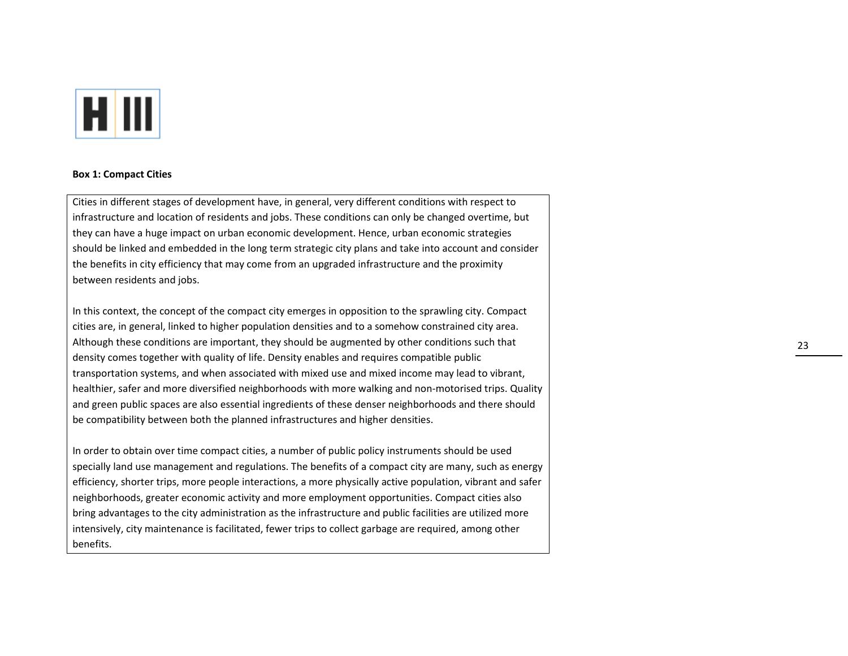

#### **Box 1: Compact Cities**

Cities in different stages of development have, in general, very different conditions with respect to infrastructure and location of residents and jobs. These conditions can only be changed overtime, but they can have <sup>a</sup> huge impact on urban economic development. Hence, urban economic strategies should be linked and embedded in the long term strategic city plans and take into account and consider the benefits in city efficiency that may come from an upgraded infrastructure and the proximity between residents and jobs.

In this context, the concept of the compact city emerges in opposition to the sprawling city. Compact cities are, in general, linked to higher population densities and to <sup>a</sup> somehow constrained city area. Although these conditions are important, they should be augmented by other conditions such that density comes together with quality of life. Density enables and requires compatible public transportation systems, and when associated with mixed use and mixed income may lead to vibrant, healthier, safer and more diversified neighborhoods with more walking and non-motorised trips. Quality and green public spaces are also essential ingredients of these denser neighborhoods and there should be compatibility between both the planned infrastructures and higher densities.

In order to obtain over time compact cities, <sup>a</sup> number of public policy instruments should be used specially land use management and regulations. The benefits of <sup>a</sup> compact city are many, such as energy efficiency, shorter trips, more people interactions, <sup>a</sup> more physically active population, vibrant and safer neighborhoods, greater economic activity and more employment opportunities. Compact cities also bring advantages to the city administration as the infrastructure and public facilities are utilized more intensively, city maintenance is facilitated, fewer trips to collect garbage are required, among other benefits.